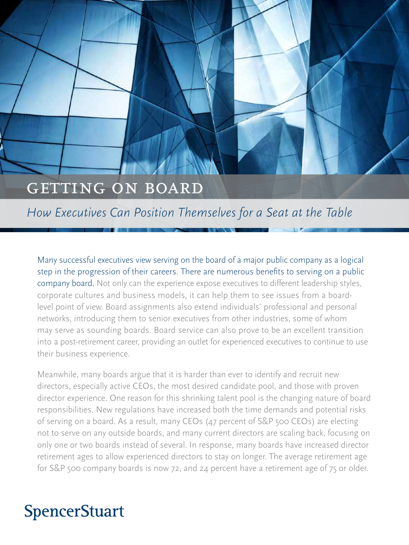# GETTING ON BOARD

# *How Executives Can Position Themselves for a Seat at the Table*

Many successful executives view serving on the board of a major public company as a logical step in the progression of their careers. There are numerous benefits to serving on a public company board. Not only can the experience expose executives to different leadership styles, corporate cultures and business models, it can help them to see issues from a boardlevel point of view. Board assignments also extend individuals' professional and personal networks, introducing them to senior executives from other industries, some of whom may serve as sounding boards. Board service can also prove to be an excellent transition into a post-retirement career, providing an outlet for experienced executives to continue to use their business experience.

Meanwhile, many boards argue that it is harder than ever to identify and recruit new directors, especially active CEOs, the most desired candidate pool, and those with proven director experience. One reason for this shrinking talent pool is the changing nature of board responsibilities. New regulations have increased both the time demands and potential risks of serving on a board. As a result, many CEOs (47 percent of S&P 500 CEOs) are electing not to serve on any outside boards, and many current directors are scaling back, focusing on only one or two boards instead of several. In response, many boards have increased director retirement ages to allow experienced directors to stay on longer. The average retirement age for S&P 500 company boards is now 72, and 24 percent have a retirement age of 75 or older.

# **SpencerStuart**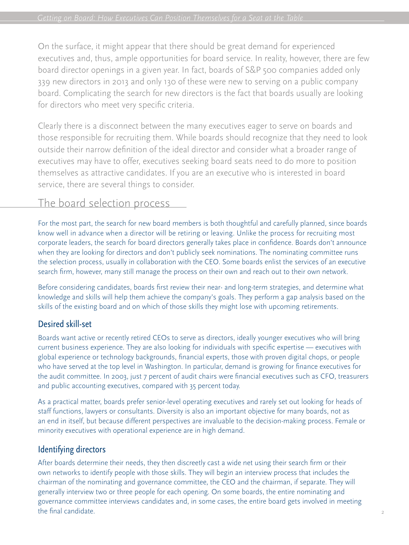On the surface, it might appear that there should be great demand for experienced executives and, thus, ample opportunities for board service. In reality, however, there are few board director openings in a given year. In fact, boards of S&P 500 companies added only 339 new directors in 2013 and only 130 of these were new to serving on a public company board. Complicating the search for new directors is the fact that boards usually are looking for directors who meet very specific criteria.

Clearly there is a disconnect between the many executives eager to serve on boards and those responsible for recruiting them. While boards should recognize that they need to look outside their narrow definition of the ideal director and consider what a broader range of executives may have to offer, executives seeking board seats need to do more to position themselves as attractive candidates. If you are an executive who is interested in board service, there are several things to consider.

# The board selection process

For the most part, the search for new board members is both thoughtful and carefully planned, since boards know well in advance when a director will be retiring or leaving. Unlike the process for recruiting most corporate leaders, the search for board directors generally takes place in confidence. Boards don't announce when they are looking for directors and don't publicly seek nominations. The nominating committee runs the selection process, usually in collaboration with the CEO. Some boards enlist the services of an executive search firm, however, many still manage the process on their own and reach out to their own network.

Before considering candidates, boards first review their near- and long-term strategies, and determine what knowledge and skills will help them achieve the company's goals. They perform a gap analysis based on the skills of the existing board and on which of those skills they might lose with upcoming retirements.

## Desired skill-set

Boards want active or recently retired CEOs to serve as directors, ideally younger executives who will bring current business experience. They are also looking for individuals with specific expertise — executives with global experience or technology backgrounds, financial experts, those with proven digital chops, or people who have served at the top level in Washington. In particular, demand is growing for finance executives for the audit committee. In 2003, just 7 percent of audit chairs were financial executives such as CFO, treasurers and public accounting executives, compared with 35 percent today.

As a practical matter, boards prefer senior-level operating executives and rarely set out looking for heads of staff functions, lawyers or consultants. Diversity is also an important objective for many boards, not as an end in itself, but because different perspectives are invaluable to the decision-making process. Female or minority executives with operational experience are in high demand.

## Identifying directors

After boards determine their needs, they then discreetly cast a wide net using their search firm or their own networks to identify people with those skills. They will begin an interview process that includes the chairman of the nominating and governance committee, the CEO and the chairman, if separate. They will generally interview two or three people for each opening. On some boards, the entire nominating and governance committee interviews candidates and, in some cases, the entire board gets involved in meeting the final candidate.  $\frac{2}{3}$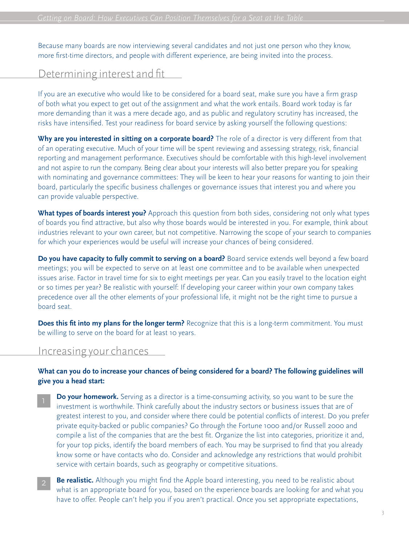Because many boards are now interviewing several candidates and not just one person who they know, more first-time directors, and people with different experience, are being invited into the process.

## Determining interest and fit

If you are an executive who would like to be considered for a board seat, make sure you have a firm grasp of both what you expect to get out of the assignment and what the work entails. Board work today is far more demanding than it was a mere decade ago, and as public and regulatory scrutiny has increased, the risks have intensified. Test your readiness for board service by asking yourself the following questions:

**Why are you interested in sitting on a corporate board?** The role of a director is very different from that of an operating executive. Much of your time will be spent reviewing and assessing strategy, risk, financial reporting and management performance. Executives should be comfortable with this high-level involvement and not aspire to run the company. Being clear about your interests will also better prepare you for speaking with nominating and governance committees: They will be keen to hear your reasons for wanting to join their board, particularly the specific business challenges or governance issues that interest you and where you can provide valuable perspective.

**What types of boards interest you?** Approach this question from both sides, considering not only what types of boards you find attractive, but also why those boards would be interested in you. For example, think about industries relevant to your own career, but not competitive. Narrowing the scope of your search to companies for which your experiences would be useful will increase your chances of being considered.

**Do you have capacity to fully commit to serving on a board?** Board service extends well beyond a few board meetings; you will be expected to serve on at least one committee and to be available when unexpected issues arise. Factor in travel time for six to eight meetings per year. Can you easily travel to the location eight or so times per year? Be realistic with yourself: If developing your career within your own company takes precedence over all the other elements of your professional life, it might not be the right time to pursue a board seat.

**Does this fit into my plans for the longer term?** Recognize that this is a long-term commitment. You must be willing to serve on the board for at least 10 years.

#### Increasing your chances

#### **What can you do to increase your chances of being considered for a board? The following guidelines will give you a head start:**

- **Do your homework.** Serving as a director is a time-consuming activity, so you want to be sure the investment is worthwhile. Think carefully about the industry sectors or business issues that are of greatest interest to you, and consider where there could be potential conflicts of interest. Do you prefer private equity-backed or public companies? Go through the Fortune 1000 and/or Russell 2000 and compile a list of the companies that are the best fit. Organize the list into categories, prioritize it and, for your top picks, identify the board members of each. You may be surprised to find that you already know some or have contacts who do. Consider and acknowledge any restrictions that would prohibit service with certain boards, such as geography or competitive situations.
- **Be realistic.** Although you might find the Apple board interesting, you need to be realistic about what is an appropriate board for you, based on the experience boards are looking for and what you have to offer. People can't help you if you aren't practical. Once you set appropriate expectations,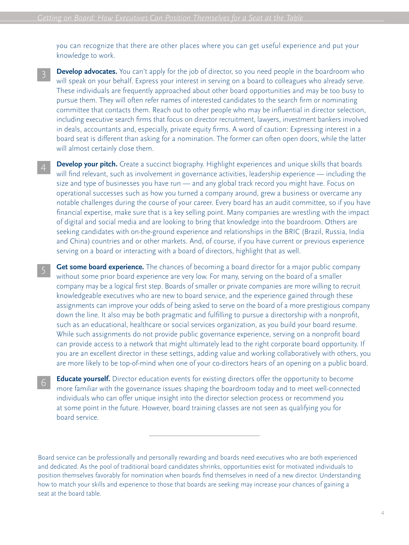you can recognize that there are other places where you can get useful experience and put your knowledge to work.

- **Develop advocates.** You can't apply for the job of director, so you need people in the boardroom who will speak on your behalf. Express your interest in serving on a board to colleagues who already serve. These individuals are frequently approached about other board opportunities and may be too busy to pursue them. They will often refer names of interested candidates to the search firm or nominating committee that contacts them. Reach out to other people who may be influential in director selection, including executive search firms that focus on director recruitment, lawyers, investment bankers involved in deals, accountants and, especially, private equity firms. A word of caution: Expressing interest in a board seat is different than asking for a nomination. The former can often open doors, while the latter will almost certainly close them. 3
- **Develop your pitch.** Create a succinct biography. Highlight experiences and unique skills that boards will find relevant, such as involvement in governance activities, leadership experience — including the size and type of businesses you have run — and any global track record you might have. Focus on operational successes such as how you turned a company around, grew a business or overcame any notable challenges during the course of your career. Every board has an audit committee, so if you have financial expertise, make sure that is a key selling point. Many companies are wrestling with the impact of digital and social media and are looking to bring that knowledge into the boardroom. Others are seeking candidates with on-the-ground experience and relationships in the BRIC (Brazil, Russia, India and China) countries and or other markets. And, of course, if you have current or previous experience serving on a board or interacting with a board of directors, highlight that as well.
- **Get some board experience.** The chances of becoming a board director for a major public company without some prior board experience are very low. For many, serving on the board of a smaller company may be a logical first step. Boards of smaller or private companies are more willing to recruit knowledgeable executives who are new to board service, and the experience gained through these assignments can improve your odds of being asked to serve on the board of a more prestigious company down the line. It also may be both pragmatic and fulfilling to pursue a directorship with a nonprofit, such as an educational, healthcare or social services organization, as you build your board resume. While such assignments do not provide public governance experience, serving on a nonprofit board can provide access to a network that might ultimately lead to the right corporate board opportunity. If you are an excellent director in these settings, adding value and working collaboratively with others, you are more likely to be top-of-mind when one of your co-directors hears of an opening on a public board.
- **Educate yourself.** Director education events for existing directors offer the opportunity to become more familiar with the governance issues shaping the boardroom today and to meet well-connected individuals who can offer unique insight into the director selection process or recommend you at some point in the future. However, board training classes are not seen as qualifying you for board service. 6

Board service can be professionally and personally rewarding and boards need executives who are both experienced and dedicated. As the pool of traditional board candidates shrinks, opportunities exist for motivated individuals to position themselves favorably for nomination when boards find themselves in need of a new director. Understanding how to match your skills and experience to those that boards are seeking may increase your chances of gaining a seat at the board table.